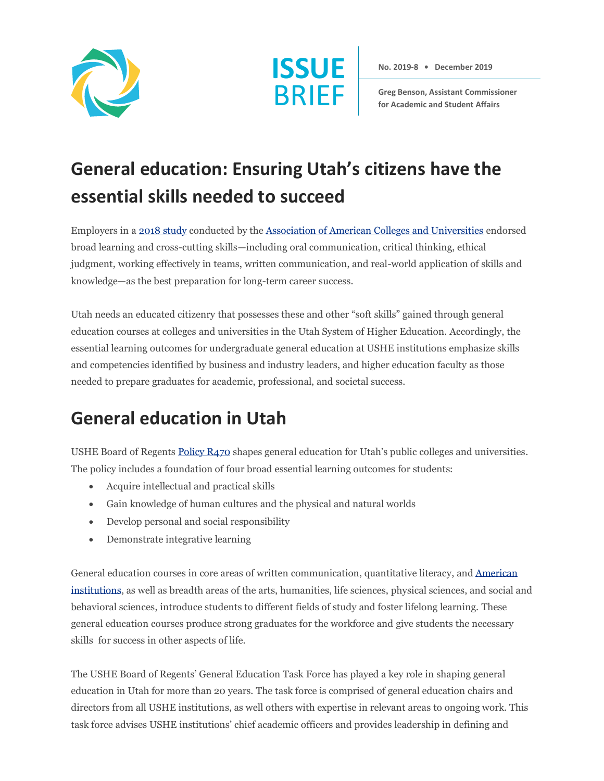



**No. 2019-8 • December 2019**

**Greg Benson, Assistant Commissioner for Academic and Student Affairs**

## **General education: Ensuring Utah's citizens have the essential skills needed to succeed**

Employers in [a 2018 study](https://www.aacu.org/research/2018-future-of-work) conducted by th[e Association of American Colleges and Universities](https://www.aacu.org/) endorsed broad learning and cross-cutting skills—including oral communication, critical thinking, ethical judgment, working effectively in teams, written communication, and real-world application of skills and knowledge—as the best preparation for long-term career success.

Utah needs an educated citizenry that possesses these and other "soft skills" gained through general education courses at colleges and universities in the Utah System of Higher Education. Accordingly, the essential learning outcomes for undergraduate general education at USHE institutions emphasize skills and competencies identified by business and industry leaders, and higher education faculty as those needed to prepare graduates for academic, professional, and societal success.

## **General education in Utah**

USHE Board of Regent[s Policy R470](https://ushe.edu/ushe-policies/r470-general-education-common-course-numbering-lower-division-pre-major-requirements-transfer-of-credits-and-credit-by-examination/) shapes general education for Utah's public colleges and universities. The policy includes a foundation of four broad essential learning outcomes for students:

- Acquire intellectual and practical skills
- Gain knowledge of human cultures and the physical and natural worlds
- Develop personal and social responsibility
- Demonstrate integrative learning

General education courses in core areas of written communication, quantitative literacy, and [American](https://le.utah.gov/xcode/Title53B/Chapter16/53B-16-S103.html)  [institutions,](https://le.utah.gov/xcode/Title53B/Chapter16/53B-16-S103.html) as well as breadth areas of the arts, humanities, life sciences, physical sciences, and social and behavioral sciences, introduce students to different fields of study and foster lifelong learning. These general education courses produce strong graduates for the workforce and give students the necessary skills for success in other aspects of life.

The USHE Board of Regents' General Education Task Force has played a key role in shaping general education in Utah for more than 20 years. The task force is comprised of general education chairs and directors from all USHE institutions, as well others with expertise in relevant areas to ongoing work. This task force advises USHE institutions' chief academic officers and provides leadership in defining and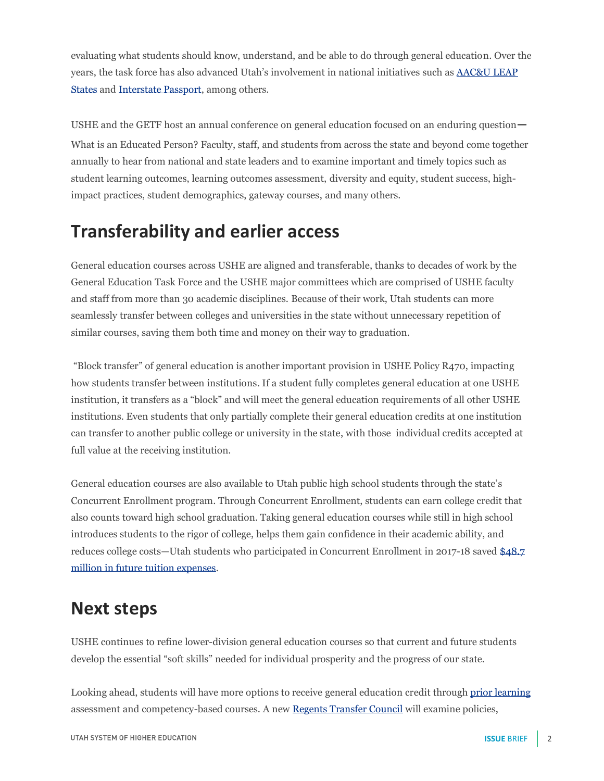evaluating what students should know, understand, and be able to do through general education. Over the years, the task force has also advanced Utah's involvement in national initiatives such as [AAC&U LEAP](https://www.aacu.org/leap/states)  [States](https://www.aacu.org/leap/states) and [Interstate Passport,](https://interstatepassport.wiche.edu/) among others.

USHE and the GETF host an annual conference on general education focused on an enduring question— What is an Educated Person? Faculty, staff, and students from across the state and beyond come together annually to hear from national and state leaders and to examine important and timely topics such as student learning outcomes, learning outcomes assessment, diversity and equity, student success, highimpact practices, student demographics, gateway courses, and many others.

## **Transferability and earlier access**

General education courses across USHE are aligned and transferable, thanks to decades of work by the General Education Task Force and the USHE major committees which are comprised of USHE faculty and staff from more than 30 academic disciplines. Because of their work, Utah students can more seamlessly transfer between colleges and universities in the state without unnecessary repetition of similar courses, saving them both time and money on their way to graduation.

"Block transfer" of general education is another important provision in USHE Policy R470, impacting how students transfer between institutions. If a student fully completes general education at one USHE institution, it transfers as a "block" and will meet the general education requirements of all other USHE institutions. Even students that only partially complete their general education credits at one institution can transfer to another public college or university in the state, with those individual credits accepted at full value at the receiving institution.

General education courses are also available to Utah public high school students through the state's Concurrent Enrollment program. Through Concurrent Enrollment, students can earn college credit that also counts toward high school graduation. Taking general education courses while still in high school introduces students to the rigor of college, helps them gain confidence in their academic ability, and reduces college costs—Utah students who participated in Concurrent Enrollment in 2017-18 save[d \\$48.7](https://ushe.edu/over-36000-utah-high-school-students-participated-in-concurrent-enrollment-last-year-a-10-6-increase/)  [million in future tuition expenses.](https://ushe.edu/over-36000-utah-high-school-students-participated-in-concurrent-enrollment-last-year-a-10-6-increase/)

## **Next steps**

USHE continues to refine lower-division general education courses so that current and future students develop the essential "soft skills" needed for individual prosperity and the progress of our state.

Looking ahead, students will have more options to receive general education credit throug[h prior learning](https://ushe.edu/initiatives/prior-learning-assessment/) assessment and competency-based courses. A new [Regents Transfer Council](https://ushe.edu/wp-content/uploads/pdf/agendas/20190912/presentations/Transfer_Guide_and_Regents_Transfer_Council.pdf) will examine policies,